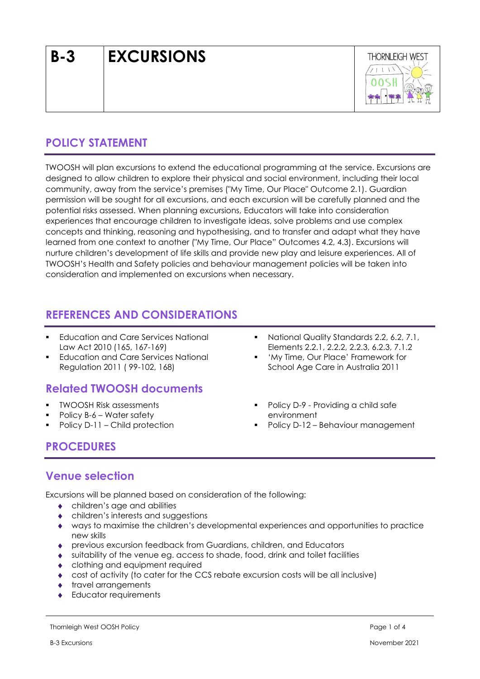# **B-3 EXCURSIONS**



# **POLICY STATEMENT**

TWOOSH will plan excursions to extend the educational programming at the service. Excursions are designed to allow children to explore their physical and social environment, including their local community, away from the service's premises ("My Time, Our Place" Outcome 2.1). Guardian permission will be sought for all excursions, and each excursion will be carefully planned and the potential risks assessed. When planning excursions, Educators will take into consideration experiences that encourage children to investigate ideas, solve problems and use complex concepts and thinking, reasoning and hypothesising, and to transfer and adapt what they have learned from one context to another ("My Time, Our Place" Outcomes 4.2, 4.3). Excursions will nurture children's development of life skills and provide new play and leisure experiences. All of TWOOSH's Health and Safety policies and behaviour management policies will be taken into consideration and implemented on excursions when necessary.

## **REFERENCES AND CONSIDERATIONS**

- **Education and Care Services National** Law Act 2010 (165, 167-169)
- **Education and Care Services National** Regulation 2011 ( 99-102, 168)

# **Related TWOOSH documents**

- TWOOSH Risk assessments
- Policy B-6 Water safety
- Policy D-11 Child protection
- National Quality Standards 2.2, 6.2, 7.1, Elements 2.2.1, 2.2.2, 2.2.3, 6.2.3, 7.1.2
- 'My Time, Our Place' Framework for School Age Care in Australia 2011
- Policy D-9 Providing a child safe environment
- Policy D-12 Behaviour management

# **PROCEDURES**

## **Venue selection**

Excursions will be planned based on consideration of the following:

- children's age and abilities
- children's interests and suggestions
- ways to maximise the children's developmental experiences and opportunities to practice new skills
- previous excursion feedback from Guardians, children, and Educators
- suitability of the venue eg. access to shade, food, drink and toilet facilities
- clothing and equipment required
- cost of activity (to cater for the CCS rebate excursion costs will be all inclusive)
- travel arrangements
- Educator requirements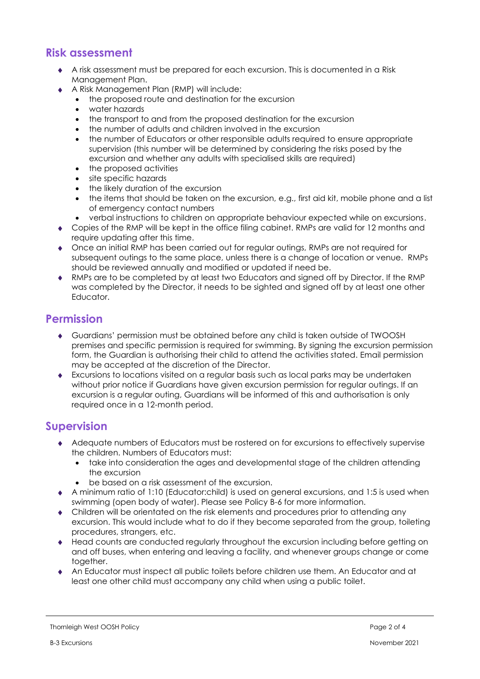## **Risk assessment**

- A risk assessment must be prepared for each excursion. This is documented in a Risk Management Plan.
- A Risk Management Plan (RMP) will include:
	- the proposed route and destination for the excursion
	- water hazards
	- the transport to and from the proposed destination for the excursion
	- the number of adults and children involved in the excursion
	- the number of Educators or other responsible adults required to ensure appropriate supervision (this number will be determined by considering the risks posed by the excursion and whether any adults with specialised skills are required)
	- the proposed activities
	- site specific hazards
	- the likely duration of the excursion
	- the items that should be taken on the excursion, e.g., first aid kit, mobile phone and a list of emergency contact numbers
	- verbal instructions to children on appropriate behaviour expected while on excursions.
- Copies of the RMP will be kept in the office filing cabinet. RMPs are valid for 12 months and require updating after this time.
- Once an initial RMP has been carried out for regular outings, RMPs are not required for subsequent outings to the same place, unless there is a change of location or venue. RMPs should be reviewed annually and modified or updated if need be.
- RMPs are to be completed by at least two Educators and signed off by Director. If the RMP was completed by the Director, it needs to be sighted and signed off by at least one other Educator.

## **Permission**

- Guardians' permission must be obtained before any child is taken outside of TWOOSH premises and specific permission is required for swimming. By signing the excursion permission form, the Guardian is authorising their child to attend the activities stated. Email permission may be accepted at the discretion of the Director.
- Excursions to locations visited on a regular basis such as local parks may be undertaken without prior notice if Guardians have given excursion permission for regular outings. If an excursion is a regular outing, Guardians will be informed of this and authorisation is only required once in a 12-month period.

#### **Supervision**

- Adequate numbers of Educators must be rostered on for excursions to effectively supervise the children. Numbers of Educators must:
	- take into consideration the ages and developmental stage of the children attending the excursion
	- be based on a risk assessment of the excursion.
- A minimum ratio of 1:10 (Educator:child) is used on general excursions, and 1:5 is used when swimming (open body of water). Please see Policy B-6 for more information.
- Children will be orientated on the risk elements and procedures prior to attending any excursion. This would include what to do if they become separated from the group, toileting procedures, strangers, etc.
- Head counts are conducted regularly throughout the excursion including before getting on and off buses, when entering and leaving a facility, and whenever groups change or come together.
- An Educator must inspect all public toilets before children use them. An Educator and at least one other child must accompany any child when using a public toilet.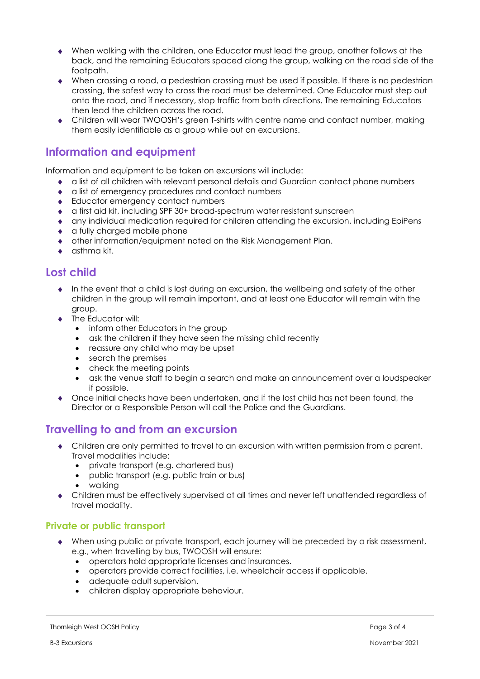- When walking with the children, one Educator must lead the group, another follows at the back, and the remaining Educators spaced along the group, walking on the road side of the footpath.
- When crossing a road, a pedestrian crossing must be used if possible. If there is no pedestrian crossing, the safest way to cross the road must be determined. One Educator must step out onto the road, and if necessary, stop traffic from both directions. The remaining Educators then lead the children across the road.
- Children will wear TWOOSH's green T-shirts with centre name and contact number, making them easily identifiable as a group while out on excursions.

## **Information and equipment**

Information and equipment to be taken on excursions will include:

- a list of all children with relevant personal details and Guardian contact phone numbers
- a list of emergency procedures and contact numbers
- ◆ Educator emergency contact numbers
- a first aid kit, including SPF 30+ broad-spectrum water resistant sunscreen
- any individual medication required for children attending the excursion, including EpiPens
- a fully charged mobile phone
- other information/equipment noted on the Risk Management Plan.
- $\bullet$  asthma kit.

## **Lost child**

- $\bullet$  In the event that a child is lost during an excursion, the wellbeing and safety of the other children in the group will remain important, and at least one Educator will remain with the group.
- The Educator will:
	- inform other Educators in the group
	- ask the children if they have seen the missing child recently
	- reassure any child who may be upset
	- search the premises
	- check the meeting points
	- ask the venue staff to begin a search and make an announcement over a loudspeaker if possible.
- Once initial checks have been undertaken, and if the lost child has not been found, the Director or a Responsible Person will call the Police and the Guardians.

#### **Travelling to and from an excursion**

- Children are only permitted to travel to an excursion with written permission from a parent. Travel modalities include:
	- private transport (e.g. chartered bus)
	- public transport (e.g. public train or bus)
	- walking
- Children must be effectively supervised at all times and never left unattended regardless of travel modality.

#### **Private or public transport**

- When using public or private transport, each journey will be preceded by a risk assessment, e.g., when travelling by bus, TWOOSH will ensure:
	- operators hold appropriate licenses and insurances.
	- operators provide correct facilities, i.e. wheelchair access if applicable.
	- adequate adult supervision.
	- children display appropriate behaviour.